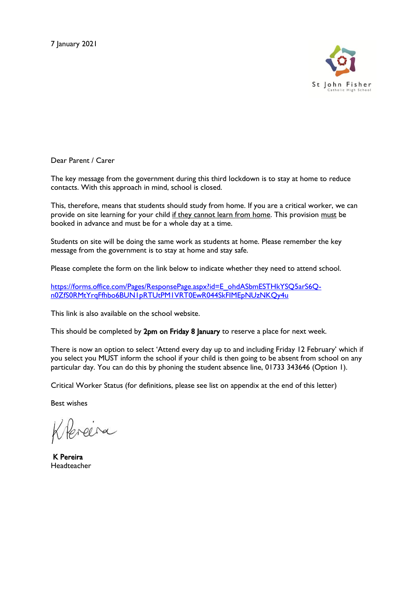

Dear Parent / Carer

The key message from the government during this third lockdown is to stay at home to reduce contacts. With this approach in mind, school is closed.

This, therefore, means that students should study from home. If you are a critical worker, we can provide on site learning for your child if they cannot learn from home. This provision must be booked in advance and must be for a whole day at a time.

Students on site will be doing the same work as students at home. Please remember the key message from the government is to stay at home and stay safe.

Please complete the form on the link below to indicate whether they need to attend school.

[https://forms.office.com/Pages/ResponsePage.aspx?id=E\\_ohdASbmESTHkYSQ5arS6Q](https://forms.office.com/Pages/ResponsePage.aspx?id=E_ohdASbmESTHkYSQ5arS6Q-n0ZfS0RMtYrqFfhbo6BUN1pRTUtPM1VRT0EwR044SkFIMEpNUzNKQy4u)[n0ZfS0RMtYrqFfhbo6BUN1pRTUtPM1VRT0EwR044SkFIMEpNUzNKQy4u](https://forms.office.com/Pages/ResponsePage.aspx?id=E_ohdASbmESTHkYSQ5arS6Q-n0ZfS0RMtYrqFfhbo6BUN1pRTUtPM1VRT0EwR044SkFIMEpNUzNKQy4u)

This link is also available on the school website.

This should be completed by 2pm on Friday 8 January to reserve a place for next week.

There is now an option to select 'Attend every day up to and including Friday 12 February' which if you select you MUST inform the school if your child is then going to be absent from school on any particular day. You can do this by phoning the student absence line, 01733 343646 (Option 1).

Critical Worker Status (for definitions, please see list on appendix at the end of this letter)

Best wishes

Hereira

 K Pereira Headteacher